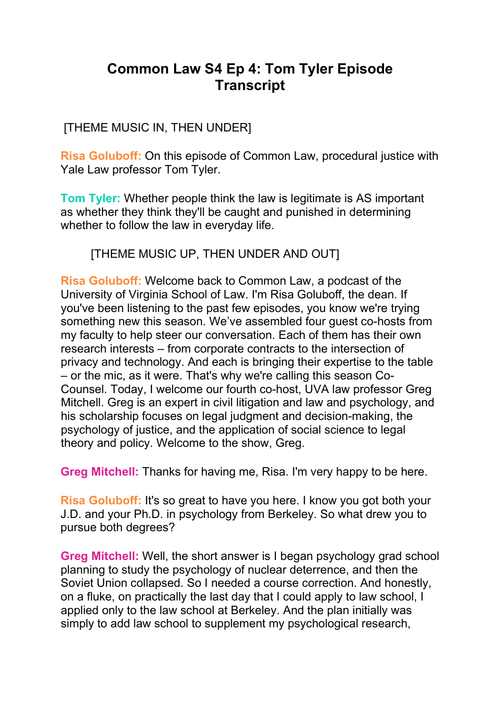# **Common Law S4 Ep 4: Tom Tyler Episode Transcript**

[THEME MUSIC IN, THEN UNDER]

**Risa Goluboff:** On this episode of Common Law, procedural justice with Yale Law professor Tom Tyler.

**Tom Tyler:** Whether people think the law is legitimate is AS important as whether they think they'll be caught and punished in determining whether to follow the law in everyday life.

[THEME MUSIC UP, THEN UNDER AND OUT]

**Risa Goluboff:** Welcome back to Common Law, a podcast of the University of Virginia School of Law. I'm Risa Goluboff, the dean. If you've been listening to the past few episodes, you know we're trying something new this season. We've assembled four guest co-hosts from my faculty to help steer our conversation. Each of them has their own research interests – from corporate contracts to the intersection of privacy and technology. And each is bringing their expertise to the table – or the mic, as it were. That's why we're calling this season Co-Counsel. Today, I welcome our fourth co-host, UVA law professor Greg Mitchell. Greg is an expert in civil litigation and law and psychology, and his scholarship focuses on legal judgment and decision-making, the psychology of justice, and the application of social science to legal theory and policy. Welcome to the show, Greg.

**Greg Mitchell:** Thanks for having me, Risa. I'm very happy to be here.

**Risa Goluboff:** It's so great to have you here. I know you got both your J.D. and your Ph.D. in psychology from Berkeley. So what drew you to pursue both degrees?

**Greg Mitchell:** Well, the short answer is I began psychology grad school planning to study the psychology of nuclear deterrence, and then the Soviet Union collapsed. So I needed a course correction. And honestly, on a fluke, on practically the last day that I could apply to law school, I applied only to the law school at Berkeley. And the plan initially was simply to add law school to supplement my psychological research,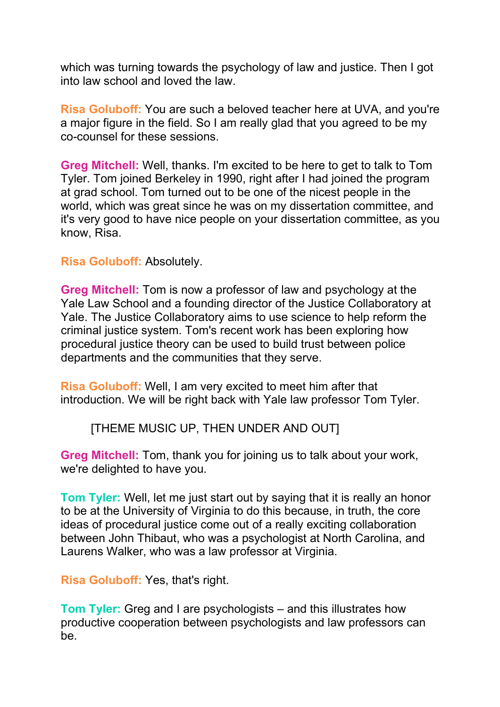which was turning towards the psychology of law and justice. Then I got into law school and loved the law.

**Risa Goluboff:** You are such a beloved teacher here at UVA, and you're a major figure in the field. So I am really glad that you agreed to be my co-counsel for these sessions.

**Greg Mitchell:** Well, thanks. I'm excited to be here to get to talk to Tom Tyler. Tom joined Berkeley in 1990, right after I had joined the program at grad school. Tom turned out to be one of the nicest people in the world, which was great since he was on my dissertation committee, and it's very good to have nice people on your dissertation committee, as you know, Risa.

### **Risa Goluboff:** Absolutely.

**Greg Mitchell:** Tom is now a professor of law and psychology at the Yale Law School and a founding director of the Justice Collaboratory at Yale. The Justice Collaboratory aims to use science to help reform the criminal justice system. Tom's recent work has been exploring how procedural justice theory can be used to build trust between police departments and the communities that they serve.

**Risa Goluboff:** Well, I am very excited to meet him after that introduction. We will be right back with Yale law professor Tom Tyler.

# [THEME MUSIC UP, THEN UNDER AND OUT]

**Greg Mitchell:** Tom, thank you for joining us to talk about your work, we're delighted to have you.

**Tom Tyler:** Well, let me just start out by saying that it is really an honor to be at the University of Virginia to do this because, in truth, the core ideas of procedural justice come out of a really exciting collaboration between John Thibaut, who was a psychologist at North Carolina, and Laurens Walker, who was a law professor at Virginia.

**Risa Goluboff:** Yes, that's right.

**Tom Tyler:** Greg and I are psychologists – and this illustrates how productive cooperation between psychologists and law professors can be.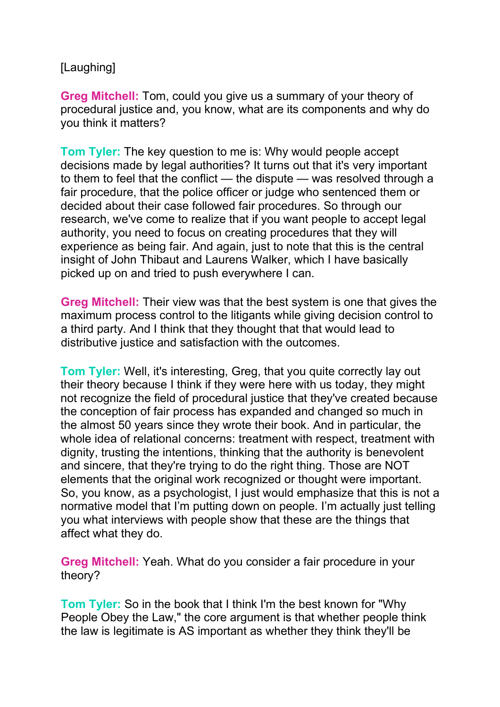# [Laughing]

**Greg Mitchell:** Tom, could you give us a summary of your theory of procedural justice and, you know, what are its components and why do you think it matters?

**Tom Tyler:** The key question to me is: Why would people accept decisions made by legal authorities? It turns out that it's very important to them to feel that the conflict — the dispute — was resolved through a fair procedure, that the police officer or judge who sentenced them or decided about their case followed fair procedures. So through our research, we've come to realize that if you want people to accept legal authority, you need to focus on creating procedures that they will experience as being fair. And again, just to note that this is the central insight of John Thibaut and Laurens Walker, which I have basically picked up on and tried to push everywhere I can.

**Greg Mitchell:** Their view was that the best system is one that gives the maximum process control to the litigants while giving decision control to a third party. And I think that they thought that that would lead to distributive justice and satisfaction with the outcomes.

**Tom Tyler:** Well, it's interesting, Greg, that you quite correctly lay out their theory because I think if they were here with us today, they might not recognize the field of procedural justice that they've created because the conception of fair process has expanded and changed so much in the almost 50 years since they wrote their book. And in particular, the whole idea of relational concerns: treatment with respect, treatment with dignity, trusting the intentions, thinking that the authority is benevolent and sincere, that they're trying to do the right thing. Those are NOT elements that the original work recognized or thought were important. So, you know, as a psychologist, I just would emphasize that this is not a normative model that I'm putting down on people. I'm actually just telling you what interviews with people show that these are the things that affect what they do.

**Greg Mitchell:** Yeah. What do you consider a fair procedure in your theory?

**Tom Tyler:** So in the book that I think I'm the best known for "Why People Obey the Law," the core argument is that whether people think the law is legitimate is AS important as whether they think they'll be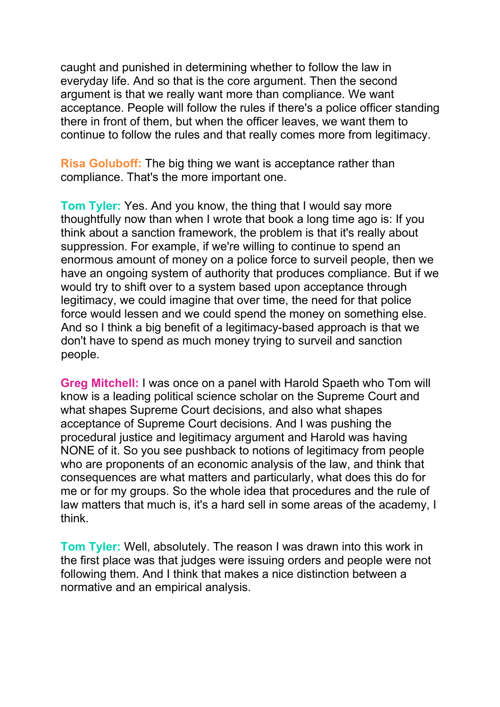caught and punished in determining whether to follow the law in everyday life. And so that is the core argument. Then the second argument is that we really want more than compliance. We want acceptance. People will follow the rules if there's a police officer standing there in front of them, but when the officer leaves, we want them to continue to follow the rules and that really comes more from legitimacy.

**Risa Goluboff:** The big thing we want is acceptance rather than compliance. That's the more important one.

**Tom Tyler:** Yes. And you know, the thing that I would say more thoughtfully now than when I wrote that book a long time ago is: If you think about a sanction framework, the problem is that it's really about suppression. For example, if we're willing to continue to spend an enormous amount of money on a police force to surveil people, then we have an ongoing system of authority that produces compliance. But if we would try to shift over to a system based upon acceptance through legitimacy, we could imagine that over time, the need for that police force would lessen and we could spend the money on something else. And so I think a big benefit of a legitimacy-based approach is that we don't have to spend as much money trying to surveil and sanction people.

**Greg Mitchell:** I was once on a panel with Harold Spaeth who Tom will know is a leading political science scholar on the Supreme Court and what shapes Supreme Court decisions, and also what shapes acceptance of Supreme Court decisions. And I was pushing the procedural justice and legitimacy argument and Harold was having NONE of it. So you see pushback to notions of legitimacy from people who are proponents of an economic analysis of the law, and think that consequences are what matters and particularly, what does this do for me or for my groups. So the whole idea that procedures and the rule of law matters that much is, it's a hard sell in some areas of the academy, I think.

**Tom Tyler:** Well, absolutely. The reason I was drawn into this work in the first place was that judges were issuing orders and people were not following them. And I think that makes a nice distinction between a normative and an empirical analysis.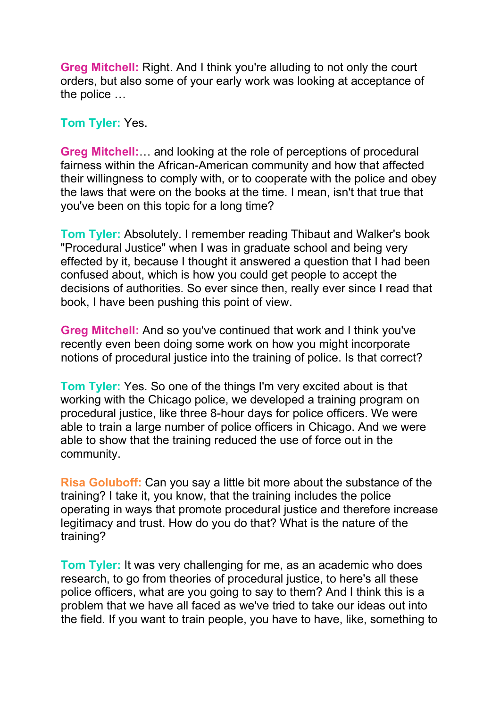**Greg Mitchell:** Right. And I think you're alluding to not only the court orders, but also some of your early work was looking at acceptance of the police …

**Tom Tyler:** Yes.

**Greg Mitchell:**… and looking at the role of perceptions of procedural fairness within the African-American community and how that affected their willingness to comply with, or to cooperate with the police and obey the laws that were on the books at the time. I mean, isn't that true that you've been on this topic for a long time?

**Tom Tyler:** Absolutely. I remember reading Thibaut and Walker's book "Procedural Justice" when I was in graduate school and being very effected by it, because I thought it answered a question that I had been confused about, which is how you could get people to accept the decisions of authorities. So ever since then, really ever since I read that book, I have been pushing this point of view.

**Greg Mitchell:** And so you've continued that work and I think you've recently even been doing some work on how you might incorporate notions of procedural justice into the training of police. Is that correct?

**Tom Tyler:** Yes. So one of the things I'm very excited about is that working with the Chicago police, we developed a training program on procedural justice, like three 8-hour days for police officers. We were able to train a large number of police officers in Chicago. And we were able to show that the training reduced the use of force out in the community.

**Risa Goluboff:** Can you say a little bit more about the substance of the training? I take it, you know, that the training includes the police operating in ways that promote procedural justice and therefore increase legitimacy and trust. How do you do that? What is the nature of the training?

**Tom Tyler:** It was very challenging for me, as an academic who does research, to go from theories of procedural justice, to here's all these police officers, what are you going to say to them? And I think this is a problem that we have all faced as we've tried to take our ideas out into the field. If you want to train people, you have to have, like, something to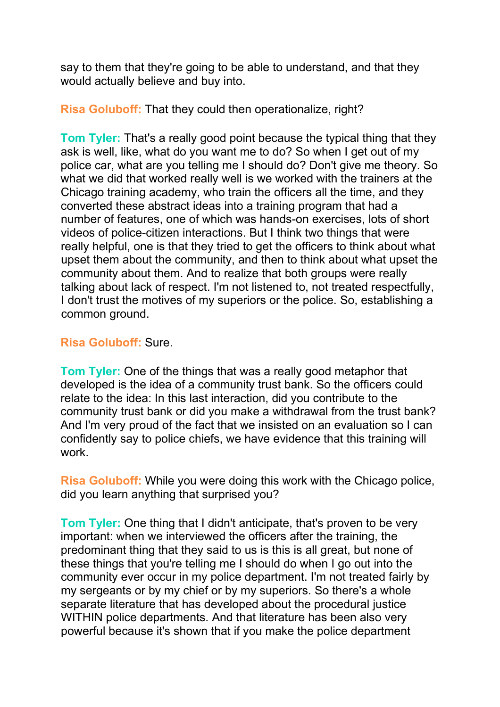say to them that they're going to be able to understand, and that they would actually believe and buy into.

**Risa Goluboff:** That they could then operationalize, right?

**Tom Tyler:** That's a really good point because the typical thing that they ask is well, like, what do you want me to do? So when I get out of my police car, what are you telling me I should do? Don't give me theory. So what we did that worked really well is we worked with the trainers at the Chicago training academy, who train the officers all the time, and they converted these abstract ideas into a training program that had a number of features, one of which was hands-on exercises, lots of short videos of police-citizen interactions. But I think two things that were really helpful, one is that they tried to get the officers to think about what upset them about the community, and then to think about what upset the community about them. And to realize that both groups were really talking about lack of respect. I'm not listened to, not treated respectfully, I don't trust the motives of my superiors or the police. So, establishing a common ground.

# **Risa Goluboff:** Sure.

**Tom Tyler:** One of the things that was a really good metaphor that developed is the idea of a community trust bank. So the officers could relate to the idea: In this last interaction, did you contribute to the community trust bank or did you make a withdrawal from the trust bank? And I'm very proud of the fact that we insisted on an evaluation so I can confidently say to police chiefs, we have evidence that this training will work.

**Risa Goluboff:** While you were doing this work with the Chicago police, did you learn anything that surprised you?

**Tom Tyler:** One thing that I didn't anticipate, that's proven to be very important: when we interviewed the officers after the training, the predominant thing that they said to us is this is all great, but none of these things that you're telling me I should do when I go out into the community ever occur in my police department. I'm not treated fairly by my sergeants or by my chief or by my superiors. So there's a whole separate literature that has developed about the procedural justice WITHIN police departments. And that literature has been also very powerful because it's shown that if you make the police department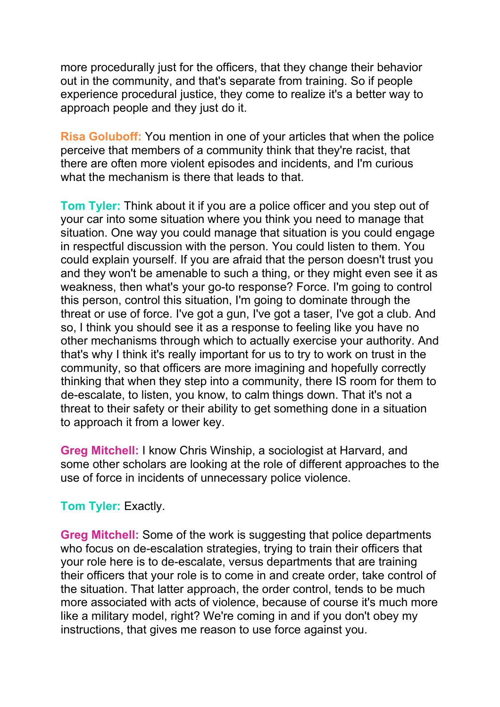more procedurally just for the officers, that they change their behavior out in the community, and that's separate from training. So if people experience procedural justice, they come to realize it's a better way to approach people and they just do it.

**Risa Goluboff:** You mention in one of your articles that when the police perceive that members of a community think that they're racist, that there are often more violent episodes and incidents, and I'm curious what the mechanism is there that leads to that.

**Tom Tyler:** Think about it if you are a police officer and you step out of your car into some situation where you think you need to manage that situation. One way you could manage that situation is you could engage in respectful discussion with the person. You could listen to them. You could explain yourself. If you are afraid that the person doesn't trust you and they won't be amenable to such a thing, or they might even see it as weakness, then what's your go-to response? Force. I'm going to control this person, control this situation, I'm going to dominate through the threat or use of force. I've got a gun, I've got a taser, I've got a club. And so, I think you should see it as a response to feeling like you have no other mechanisms through which to actually exercise your authority. And that's why I think it's really important for us to try to work on trust in the community, so that officers are more imagining and hopefully correctly thinking that when they step into a community, there IS room for them to de-escalate, to listen, you know, to calm things down. That it's not a threat to their safety or their ability to get something done in a situation to approach it from a lower key.

**Greg Mitchell:** I know Chris Winship, a sociologist at Harvard, and some other scholars are looking at the role of different approaches to the use of force in incidents of unnecessary police violence.

#### **Tom Tyler:** Exactly.

**Greg Mitchell:** Some of the work is suggesting that police departments who focus on de-escalation strategies, trying to train their officers that your role here is to de-escalate, versus departments that are training their officers that your role is to come in and create order, take control of the situation. That latter approach, the order control, tends to be much more associated with acts of violence, because of course it's much more like a military model, right? We're coming in and if you don't obey my instructions, that gives me reason to use force against you.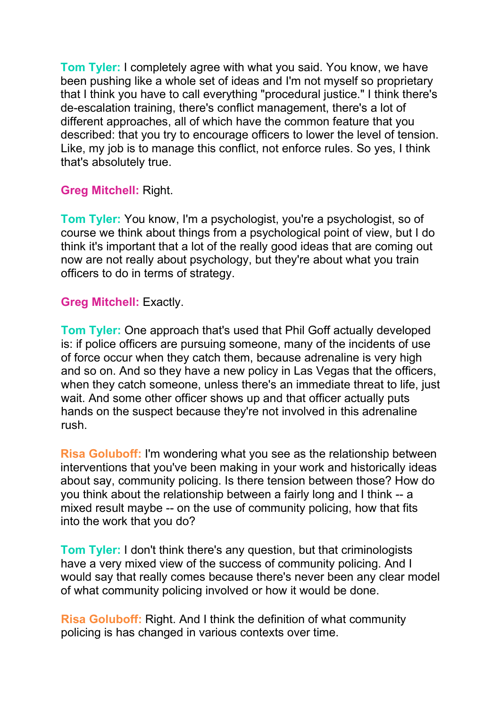**Tom Tyler:** I completely agree with what you said. You know, we have been pushing like a whole set of ideas and I'm not myself so proprietary that I think you have to call everything "procedural justice." I think there's de-escalation training, there's conflict management, there's a lot of different approaches, all of which have the common feature that you described: that you try to encourage officers to lower the level of tension. Like, my job is to manage this conflict, not enforce rules. So yes, I think that's absolutely true.

# **Greg Mitchell:** Right.

**Tom Tyler:** You know, I'm a psychologist, you're a psychologist, so of course we think about things from a psychological point of view, but I do think it's important that a lot of the really good ideas that are coming out now are not really about psychology, but they're about what you train officers to do in terms of strategy.

# **Greg Mitchell:** Exactly.

**Tom Tyler:** One approach that's used that Phil Goff actually developed is: if police officers are pursuing someone, many of the incidents of use of force occur when they catch them, because adrenaline is very high and so on. And so they have a new policy in Las Vegas that the officers, when they catch someone, unless there's an immediate threat to life, just wait. And some other officer shows up and that officer actually puts hands on the suspect because they're not involved in this adrenaline rush.

**Risa Goluboff:** I'm wondering what you see as the relationship between interventions that you've been making in your work and historically ideas about say, community policing. Is there tension between those? How do you think about the relationship between a fairly long and I think -- a mixed result maybe -- on the use of community policing, how that fits into the work that you do?

**Tom Tyler:** I don't think there's any question, but that criminologists have a very mixed view of the success of community policing. And I would say that really comes because there's never been any clear model of what community policing involved or how it would be done.

**Risa Goluboff:** Right. And I think the definition of what community policing is has changed in various contexts over time.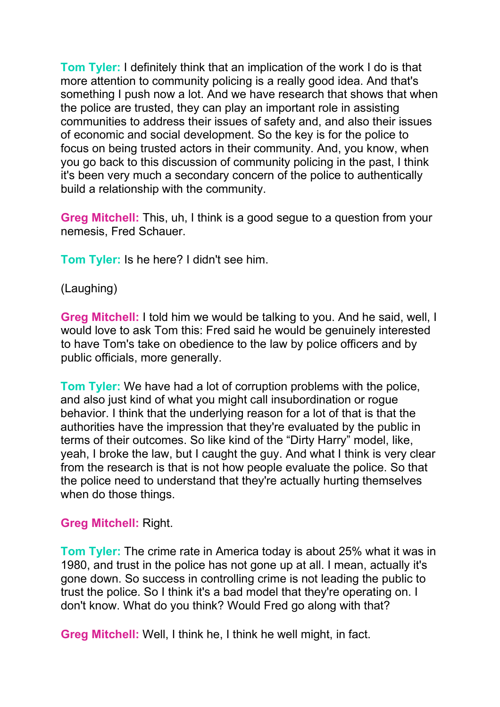**Tom Tyler:** I definitely think that an implication of the work I do is that more attention to community policing is a really good idea. And that's something I push now a lot. And we have research that shows that when the police are trusted, they can play an important role in assisting communities to address their issues of safety and, and also their issues of economic and social development. So the key is for the police to focus on being trusted actors in their community. And, you know, when you go back to this discussion of community policing in the past, I think it's been very much a secondary concern of the police to authentically build a relationship with the community.

**Greg Mitchell:** This, uh, I think is a good segue to a question from your nemesis, Fred Schauer.

**Tom Tyler:** Is he here? I didn't see him.

### (Laughing)

**Greg Mitchell:** I told him we would be talking to you. And he said, well, I would love to ask Tom this: Fred said he would be genuinely interested to have Tom's take on obedience to the law by police officers and by public officials, more generally.

**Tom Tyler:** We have had a lot of corruption problems with the police, and also just kind of what you might call insubordination or rogue behavior. I think that the underlying reason for a lot of that is that the authorities have the impression that they're evaluated by the public in terms of their outcomes. So like kind of the "Dirty Harry" model, like, yeah, I broke the law, but I caught the guy. And what I think is very clear from the research is that is not how people evaluate the police. So that the police need to understand that they're actually hurting themselves when do those things.

#### **Greg Mitchell:** Right.

**Tom Tyler:** The crime rate in America today is about 25% what it was in 1980, and trust in the police has not gone up at all. I mean, actually it's gone down. So success in controlling crime is not leading the public to trust the police. So I think it's a bad model that they're operating on. I don't know. What do you think? Would Fred go along with that?

**Greg Mitchell:** Well, I think he, I think he well might, in fact.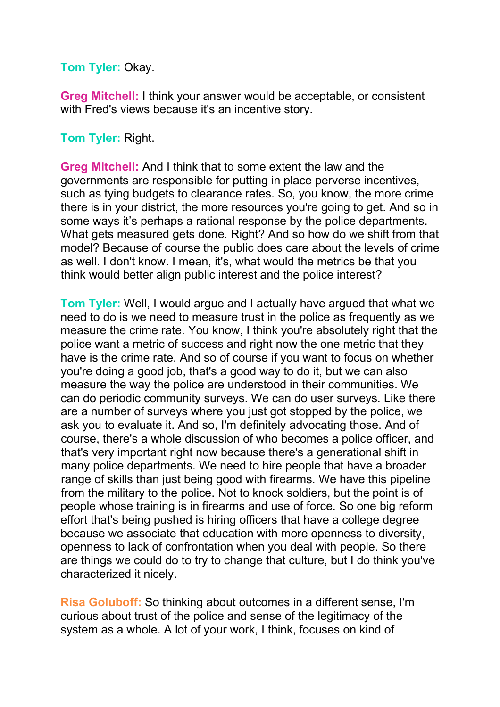#### **Tom Tyler:** Okay.

**Greg Mitchell:** I think your answer would be acceptable, or consistent with Fred's views because it's an incentive story.

### **Tom Tyler:** Right.

**Greg Mitchell:** And I think that to some extent the law and the governments are responsible for putting in place perverse incentives, such as tying budgets to clearance rates. So, you know, the more crime there is in your district, the more resources you're going to get. And so in some ways it's perhaps a rational response by the police departments. What gets measured gets done. Right? And so how do we shift from that model? Because of course the public does care about the levels of crime as well. I don't know. I mean, it's, what would the metrics be that you think would better align public interest and the police interest?

**Tom Tyler:** Well, I would argue and I actually have argued that what we need to do is we need to measure trust in the police as frequently as we measure the crime rate. You know, I think you're absolutely right that the police want a metric of success and right now the one metric that they have is the crime rate. And so of course if you want to focus on whether you're doing a good job, that's a good way to do it, but we can also measure the way the police are understood in their communities. We can do periodic community surveys. We can do user surveys. Like there are a number of surveys where you just got stopped by the police, we ask you to evaluate it. And so, I'm definitely advocating those. And of course, there's a whole discussion of who becomes a police officer, and that's very important right now because there's a generational shift in many police departments. We need to hire people that have a broader range of skills than just being good with firearms. We have this pipeline from the military to the police. Not to knock soldiers, but the point is of people whose training is in firearms and use of force. So one big reform effort that's being pushed is hiring officers that have a college degree because we associate that education with more openness to diversity, openness to lack of confrontation when you deal with people. So there are things we could do to try to change that culture, but I do think you've characterized it nicely.

**Risa Goluboff:** So thinking about outcomes in a different sense, I'm curious about trust of the police and sense of the legitimacy of the system as a whole. A lot of your work, I think, focuses on kind of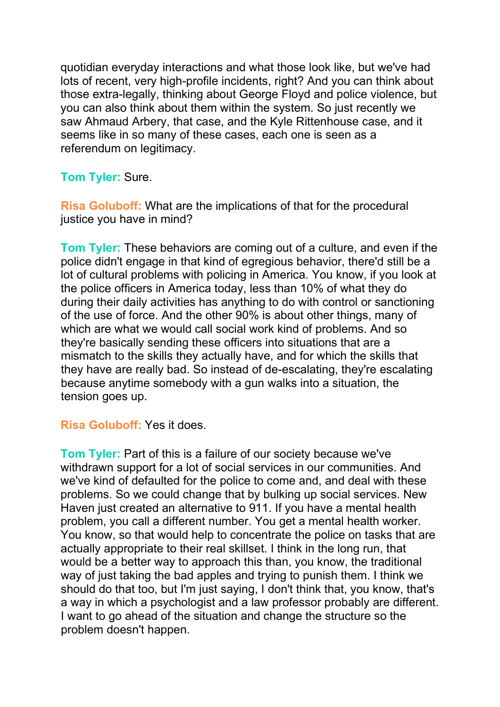quotidian everyday interactions and what those look like, but we've had lots of recent, very high-profile incidents, right? And you can think about those extra-legally, thinking about George Floyd and police violence, but you can also think about them within the system. So just recently we saw Ahmaud Arbery, that case, and the Kyle Rittenhouse case, and it seems like in so many of these cases, each one is seen as a referendum on legitimacy.

# **Tom Tyler:** Sure.

**Risa Goluboff:** What are the implications of that for the procedural justice you have in mind?

**Tom Tyler:** These behaviors are coming out of a culture, and even if the police didn't engage in that kind of egregious behavior, there'd still be a lot of cultural problems with policing in America. You know, if you look at the police officers in America today, less than 10% of what they do during their daily activities has anything to do with control or sanctioning of the use of force. And the other 90% is about other things, many of which are what we would call social work kind of problems. And so they're basically sending these officers into situations that are a mismatch to the skills they actually have, and for which the skills that they have are really bad. So instead of de-escalating, they're escalating because anytime somebody with a gun walks into a situation, the tension goes up.

**Risa Goluboff:** Yes it does.

**Tom Tyler:** Part of this is a failure of our society because we've withdrawn support for a lot of social services in our communities. And we've kind of defaulted for the police to come and, and deal with these problems. So we could change that by bulking up social services. New Haven just created an alternative to 911. If you have a mental health problem, you call a different number. You get a mental health worker. You know, so that would help to concentrate the police on tasks that are actually appropriate to their real skillset. I think in the long run, that would be a better way to approach this than, you know, the traditional way of just taking the bad apples and trying to punish them. I think we should do that too, but I'm just saying, I don't think that, you know, that's a way in which a psychologist and a law professor probably are different. I want to go ahead of the situation and change the structure so the problem doesn't happen.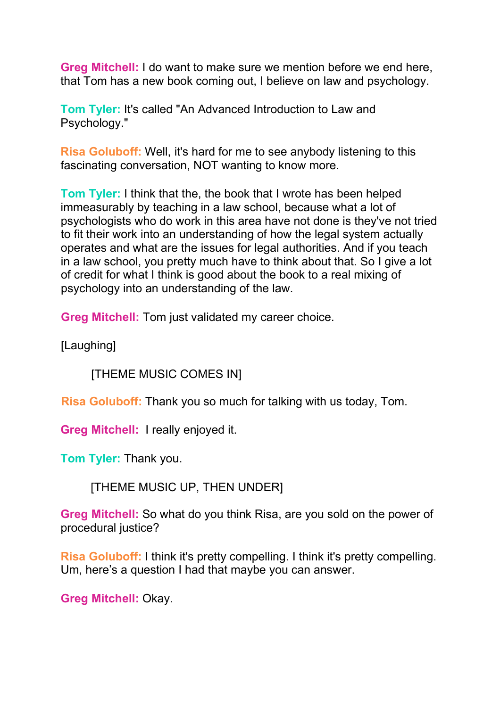**Greg Mitchell:** I do want to make sure we mention before we end here, that Tom has a new book coming out, I believe on law and psychology.

**Tom Tyler:** It's called "An Advanced Introduction to Law and Psychology."

**Risa Goluboff:** Well, it's hard for me to see anybody listening to this fascinating conversation, NOT wanting to know more.

**Tom Tyler:** I think that the, the book that I wrote has been helped immeasurably by teaching in a law school, because what a lot of psychologists who do work in this area have not done is they've not tried to fit their work into an understanding of how the legal system actually operates and what are the issues for legal authorities. And if you teach in a law school, you pretty much have to think about that. So I give a lot of credit for what I think is good about the book to a real mixing of psychology into an understanding of the law.

**Greg Mitchell:** Tom just validated my career choice.

[Laughing]

[THEME MUSIC COMES IN]

**Risa Goluboff:** Thank you so much for talking with us today, Tom.

**Greg Mitchell:** I really enjoyed it.

**Tom Tyler:** Thank you.

[THEME MUSIC UP, THEN UNDER]

**Greg Mitchell:** So what do you think Risa, are you sold on the power of procedural justice?

**Risa Goluboff:** I think it's pretty compelling. I think it's pretty compelling. Um, here's a question I had that maybe you can answer.

**Greg Mitchell:** Okay.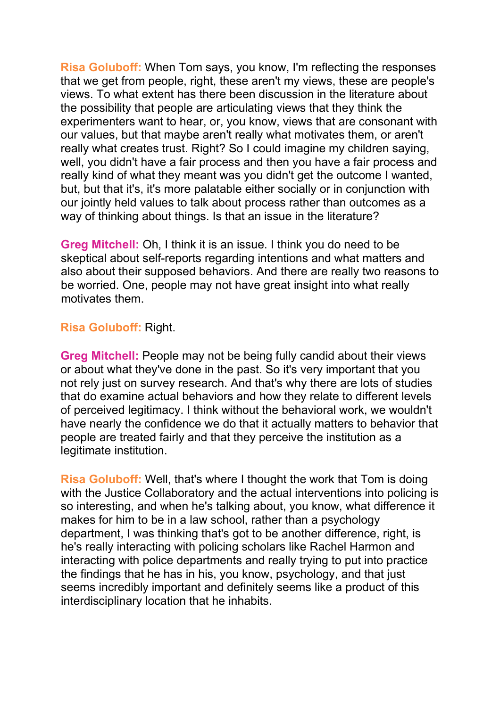**Risa Goluboff:** When Tom says, you know, I'm reflecting the responses that we get from people, right, these aren't my views, these are people's views. To what extent has there been discussion in the literature about the possibility that people are articulating views that they think the experimenters want to hear, or, you know, views that are consonant with our values, but that maybe aren't really what motivates them, or aren't really what creates trust. Right? So I could imagine my children saying, well, you didn't have a fair process and then you have a fair process and really kind of what they meant was you didn't get the outcome I wanted, but, but that it's, it's more palatable either socially or in conjunction with our jointly held values to talk about process rather than outcomes as a way of thinking about things. Is that an issue in the literature?

**Greg Mitchell:** Oh, I think it is an issue. I think you do need to be skeptical about self-reports regarding intentions and what matters and also about their supposed behaviors. And there are really two reasons to be worried. One, people may not have great insight into what really motivates them.

### **Risa Goluboff:** Right.

**Greg Mitchell:** People may not be being fully candid about their views or about what they've done in the past. So it's very important that you not rely just on survey research. And that's why there are lots of studies that do examine actual behaviors and how they relate to different levels of perceived legitimacy. I think without the behavioral work, we wouldn't have nearly the confidence we do that it actually matters to behavior that people are treated fairly and that they perceive the institution as a legitimate institution.

**Risa Goluboff:** Well, that's where I thought the work that Tom is doing with the Justice Collaboratory and the actual interventions into policing is so interesting, and when he's talking about, you know, what difference it makes for him to be in a law school, rather than a psychology department, I was thinking that's got to be another difference, right, is he's really interacting with policing scholars like Rachel Harmon and interacting with police departments and really trying to put into practice the findings that he has in his, you know, psychology, and that just seems incredibly important and definitely seems like a product of this interdisciplinary location that he inhabits.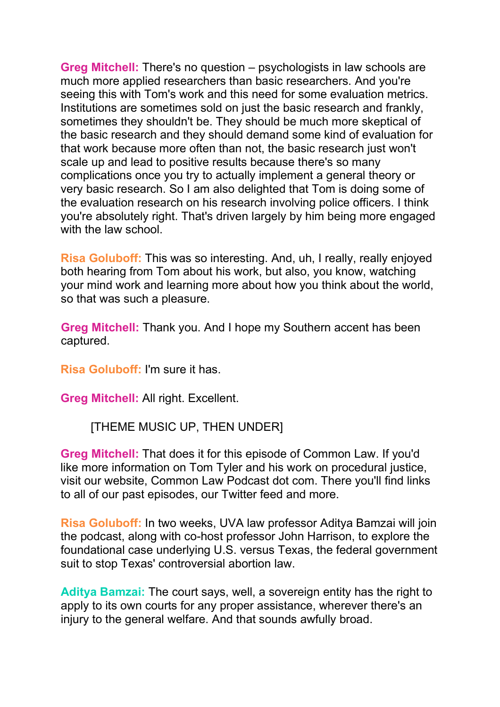**Greg Mitchell:** There's no question – psychologists in law schools are much more applied researchers than basic researchers. And you're seeing this with Tom's work and this need for some evaluation metrics. Institutions are sometimes sold on just the basic research and frankly, sometimes they shouldn't be. They should be much more skeptical of the basic research and they should demand some kind of evaluation for that work because more often than not, the basic research just won't scale up and lead to positive results because there's so many complications once you try to actually implement a general theory or very basic research. So I am also delighted that Tom is doing some of the evaluation research on his research involving police officers. I think you're absolutely right. That's driven largely by him being more engaged with the law school

**Risa Goluboff:** This was so interesting. And, uh, I really, really enjoyed both hearing from Tom about his work, but also, you know, watching your mind work and learning more about how you think about the world, so that was such a pleasure.

**Greg Mitchell:** Thank you. And I hope my Southern accent has been captured.

**Risa Goluboff:** I'm sure it has.

**Greg Mitchell:** All right. Excellent.

[THEME MUSIC UP, THEN UNDER]

**Greg Mitchell:** That does it for this episode of Common Law. If you'd like more information on Tom Tyler and his work on procedural justice, visit our website, Common Law Podcast dot com. There you'll find links to all of our past episodes, our Twitter feed and more.

**Risa Goluboff:** In two weeks, UVA law professor Aditya Bamzai will join the podcast, along with co-host professor John Harrison, to explore the foundational case underlying U.S. versus Texas, the federal government suit to stop Texas' controversial abortion law.

**Aditya Bamzai:** The court says, well, a sovereign entity has the right to apply to its own courts for any proper assistance, wherever there's an injury to the general welfare. And that sounds awfully broad.